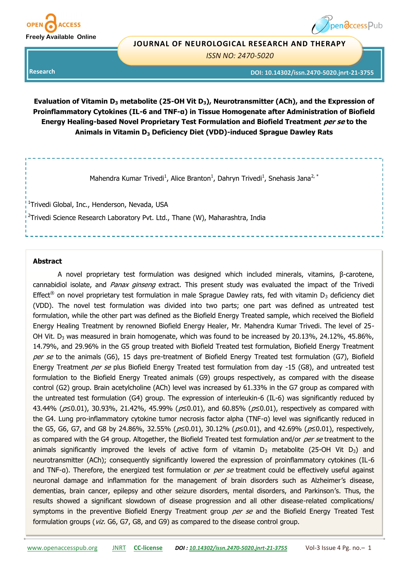

# pendccess Pub

## **JOURNAL OF NEUROLOGICAL RESEARCH AND THERAPY**

*ISSN NO: 2470-5020* 

**DOI: 10.14302/issn.2470-5020.jnrt-21-3755**

**Research** 

**Evaluation of Vitamin D<sup>3</sup> metabolite (25-OH Vit D3), Neurotransmitter (ACh), and the Expression of Proinflammatory Cytokines (IL-6 and TNF-α) in Tissue Homogenate after Administration of Biofield Energy Healing-based Novel Proprietary Test Formulation and Biofield Treatment per se to the Animals in Vitamin D<sup>3</sup> Deficiency Diet (VDD)-induced Sprague Dawley Rats**

Mahendra Kumar Trivedi<sup>1</sup>, Alice Branton<sup>1</sup>, Dahryn Trivedi<sup>1</sup>, Snehasis Jana<sup>2,\*</sup>

<sup>1</sup>Trivedi Global, Inc., Henderson, Nevada, USA <sup>2</sup>Trivedi Science Research Laboratory Pvt. Ltd., Thane (W), Maharashtra, India

## **Abstract**

A novel proprietary test formulation was designed which included minerals, vitamins, β-carotene, cannabidiol isolate, and *Panax ginseng* extract. This present study was evaluated the impact of the Trivedi Effect<sup>®</sup> on novel proprietary test formulation in male Sprague Dawley rats, fed with vitamin D<sub>3</sub> deficiency diet (VDD). The novel test formulation was divided into two parts; one part was defined as untreated test formulation, while the other part was defined as the Biofield Energy Treated sample, which received the Biofield Energy Healing Treatment by renowned Biofield Energy Healer, Mr. Mahendra Kumar Trivedi. The level of 25- OH Vit.  $D_3$  was measured in brain homogenate, which was found to be increased by 20.13%, 24.12%, 45.86%, 14.79%, and 29.96% in the G5 group treated with Biofield Treated test formulation, Biofield Energy Treatment per se to the animals (G6), 15 days pre-treatment of Biofield Energy Treated test formulation (G7), Biofield Energy Treatment per se plus Biofield Energy Treated test formulation from day -15 (G8), and untreated test formulation to the Biofield Energy Treated animals (G9) groups respectively, as compared with the disease control (G2) group. Brain acetylcholine (ACh) level was increased by 61.33% in the G7 group as compared with the untreated test formulation (G4) group. The expression of interleukin-6 (IL-6) was significantly reduced by 43.44% ( $p≤0.01$ ), 30.93%, 21.42%, 45.99% ( $p≤0.01$ ), and 60.85% ( $p≤0.01$ ), respectively as compared with the G4. Lung pro-inflammatory cytokine tumor necrosis factor alpha (TNF-α) level was significantly reduced in the G5, G6, G7, and G8 by 24.86%, 32.55% ( $p≤0.01$ ), 30.12% ( $p≤0.01$ ), and 42.69% ( $p≤0.01$ ), respectively, as compared with the G4 group. Altogether, the Biofield Treated test formulation and/or per se treatment to the animals significantly improved the levels of active form of vitamin  $D_3$  metabolite (25-OH Vit  $D_3$ ) and neurotransmitter (ACh); consequently significantly lowered the expression of proinflammatory cytokines (IL-6 and TNF-a). Therefore, the energized test formulation or *per se* treatment could be effectively useful against neuronal damage and inflammation for the management of brain disorders such as Alzheimer's disease, dementias, brain cancer, epilepsy and other seizure disorders, mental disorders, and Parkinson's. Thus, the results showed a significant slowdown of disease progression and all other disease-related complications/ symptoms in the preventive Biofield Energy Treatment group per se and the Biofield Energy Treated Test formulation groups (viz. G6, G7, G8, and G9) as compared to the disease control group.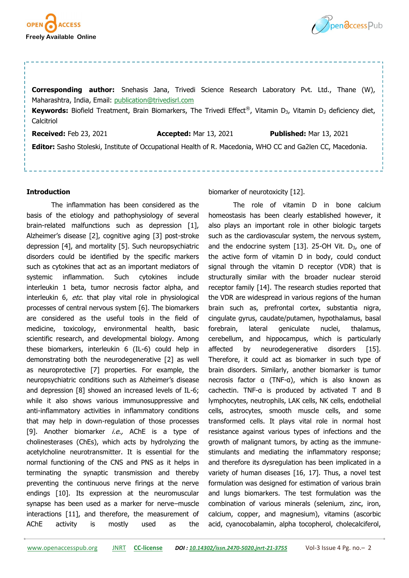



**Corresponding author:** Snehasis Jana, Trivedi Science Research Laboratory Pvt. Ltd., Thane (W), Maharashtra, India, Email: [publication@trivedisrl.com](mailto:publication@trivedisrl.com) Keywords: Biofield Treatment, Brain Biomarkers, The Trivedi Effect®, Vitamin D<sub>3</sub>, Vitamin D<sub>3</sub> deficiency diet, **Calcitriol Received:** Feb 23, 2021 **Accepted:** Mar 13, 2021 **Published:** Mar 13, 2021

**Editor:** Sasho Stoleski, Institute of Occupational Health of R. Macedonia, WHO CC and Ga2len CC, Macedonia.

# **Introduction**

The inflammation has been considered as the basis of the etiology and pathophysiology of several brain-related malfunctions such as depression [1], Alzheimer's disease [2], cognitive aging [3] post-stroke depression [4], and mortality [5]. Such neuropsychiatric disorders could be identified by the specific markers such as cytokines that act as an important mediators of systemic inflammation. Such cytokines include interleukin 1 beta, tumor necrosis factor alpha, and interleukin 6, etc. that play vital role in physiological processes of central nervous system [6]. The biomarkers are considered as the useful tools in the field of medicine, toxicology, environmental health, basic scientific research, and developmental biology. Among these biomarkers, interleukin 6 (IL-6) could help in demonstrating both the neurodegenerative [2] as well as neuroprotective [7] properties. For example, the neuropsychiatric conditions such as Alzheimer's disease and depression [8] showed an increased levels of IL-6; while it also shows various immunosuppressive and anti-inflammatory activities in inflammatory conditions that may help in down-regulation of those processes [9]. Another biomarker *i.e.*, AChE is a type of cholinesterases (ChEs), which acts by hydrolyzing the acetylcholine neurotransmitter. It is essential for the normal functioning of the CNS and PNS as it helps in terminating the synaptic transmission and thereby preventing the continuous nerve firings at the nerve endings [10]. Its expression at the neuromuscular synapse has been used as a marker for nerve–muscle interactions [11], and therefore, the measurement of AChE activity is mostly used as the

biomarker of neurotoxicity [12].

The role of vitamin D in bone calcium homeostasis has been clearly established however, it also plays an important role in other biologic targets such as the cardiovascular system, the nervous system, and the endocrine system [13]. 25-OH Vit.  $D_3$ , one of the active form of vitamin D in body, could conduct signal through the vitamin D receptor (VDR) that is structurally similar with the broader nuclear steroid receptor family [14]. The research studies reported that the VDR are widespread in various regions of the human brain such as, prefrontal cortex, substantia nigra, cingulate gyrus, caudate/putamen, hypothalamus, basal forebrain, lateral geniculate nuclei, thalamus, cerebellum, and hippocampus, which is particularly affected by neurodegenerative disorders [15]. Therefore, it could act as biomarker in such type of brain disorders. Similarly, another biomarker is tumor necrosis factor α (TNF-α), which is also known as cachectin. TNF-α is produced by activated T and B lymphocytes, neutrophils, LAK cells, NK cells, endothelial cells, astrocytes, smooth muscle cells, and some transformed cells. It plays vital role in normal host resistance against various types of infections and the growth of malignant tumors, by acting as the immunestimulants and mediating the inflammatory response; and therefore its dysregulation has been implicated in a variety of human diseases [16, 17]. Thus, a novel test formulation was designed for estimation of various brain and lungs biomarkers. The test formulation was the combination of various minerals (selenium, zinc, iron, calcium, copper, and magnesium), vitamins (ascorbic acid, cyanocobalamin, alpha tocopherol, cholecalciferol,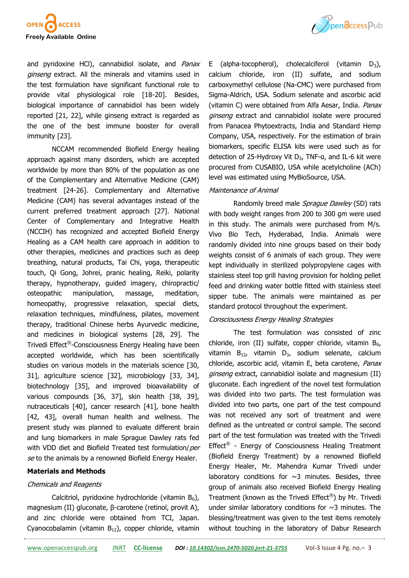

and pyridoxine HCl), cannabidiol isolate, and Panax ginseng extract. All the minerals and vitamins used in the test formulation have significant functional role to provide vital physiological role [18-20]. Besides, biological importance of cannabidiol has been widely reported [21, 22], while ginseng extract is regarded as the one of the best immune booster for overall immunity [23].

NCCAM recommended Biofield Energy healing approach against many disorders, which are accepted worldwide by more than 80% of the population as one of the Complementary and Alternative Medicine (CAM) treatment [24-26]. Complementary and Alternative Medicine (CAM) has several advantages instead of the current preferred treatment approach [27]. National Center of Complementary and Integrative Health (NCCIH) has recognized and accepted Biofield Energy Healing as a CAM health care approach in addition to other therapies, medicines and practices such as deep breathing, natural products, Tai Chi, yoga, therapeutic touch, Qi Gong, Johrei, pranic healing, Reiki, polarity therapy, hypnotherapy, guided imagery, chiropractic/ osteopathic manipulation, massage, meditation, homeopathy, progressive relaxation, special diets, relaxation techniques, mindfulness, pilates, movement therapy, traditional Chinese herbs Ayurvedic medicine, and medicines in biological systems [28, 29]. The Trivedi Effect®-Consciousness Energy Healing have been accepted worldwide, which has been scientifically studies on various models in the materials science [30, 31], agriculture science [32], microbiology [33, 34], biotechnology [35], and improved bioavailability of various compounds [36, 37], skin health [38, 39], nutraceuticals [40], cancer research [41], bone health [42, 43], overall human health and wellness. The present study was planned to evaluate different brain and lung biomarkers in male Sprague Dawley rats fed with VDD diet and Biofield Treated test formulation/per se to the animals by a renowned Biofield Energy Healer.

#### **Materials and Methods**

## Chemicals and Reagents

Calcitriol, pyridoxine hydrochloride (vitamin  $B_6$ ), magnesium (II) gluconate, β-carotene (retinol, provit A), and zinc chloride were obtained from TCI, Japan. Cyanocobalamin (vitamin  $B_{12}$ ), copper chloride, vitamin



E (alpha-tocopherol), cholecalciferol (vitamin  $D_3$ ), calcium chloride, iron (II) sulfate, and sodium carboxymethyl cellulose (Na-CMC) were purchased from Sigma-Aldrich, USA. Sodium selenate and ascorbic acid (vitamin C) were obtained from Alfa Aesar, India. Panax ginseng extract and cannabidiol isolate were procured from Panacea Phytoextracts, India and Standard Hemp Company, USA, respectively. For the estimation of brain biomarkers, specific ELISA kits were used such as for detection of 25-Hydroxy Vit  $D_3$ , TNF-a, and IL-6 kit were procured from CUSABIO, USA while acetylcholine (ACh) level was estimated using MyBioSource, USA.

## Maintenance of Animal

Randomly breed male Sprague Dawley (SD) rats with body weight ranges from 200 to 300 gm were used in this study. The animals were purchased from M/s. Vivo Bio Tech, Hyderabad, India. Animals were randomly divided into nine groups based on their body weights consist of 6 animals of each group. They were kept individually in sterilized polypropylene cages with stainless steel top grill having provision for holding pellet feed and drinking water bottle fitted with stainless steel sipper tube. The animals were maintained as per standard protocol throughout the experiment.

## Consciousness Energy Healing Strategies

The test formulation was consisted of zinc chloride, iron (II) sulfate, copper chloride, vitamin  $B_{6}$ , vitamin  $B_{12}$ , vitamin  $D_{3}$ , sodium selenate, calcium chloride, ascorbic acid, vitamin E, beta carotene, Panax ginseng extract, cannabidiol isolate and magnesium (II) gluconate. Each ingredient of the novel test formulation was divided into two parts. The test formulation was divided into two parts, one part of the test compound was not received any sort of treatment and were defined as the untreated or control sample. The second part of the test formulation was treated with the Trivedi Effect<sup>®</sup> - Energy of Consciousness Healing Treatment (Biofield Energy Treatment) by a renowned Biofield Energy Healer, Mr. Mahendra Kumar Trivedi under laboratory conditions for  $\sim$ 3 minutes. Besides, three group of animals also received Biofield Energy Healing Treatment (known as the Trivedi Effect®) by Mr. Trivedi under similar laboratory conditions for  $\sim$ 3 minutes. The blessing/treatment was given to the test items remotely without touching in the laboratory of Dabur Research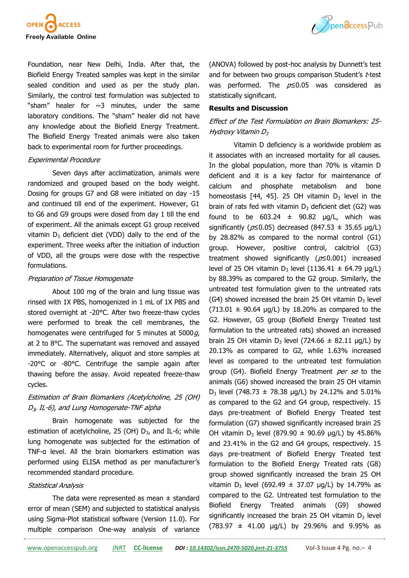

Foundation, near New Delhi, India. After that, the Biofield Energy Treated samples was kept in the similar sealed condition and used as per the study plan. Similarly, the control test formulation was subjected to "sham" healer for  $\sim$ 3 minutes, under the same laboratory conditions. The "sham" healer did not have any knowledge about the Biofield Energy Treatment. The Biofield Energy Treated animals were also taken back to experimental room for further proceedings.

#### Experimental Procedure

Seven days after acclimatization, animals were randomized and grouped based on the body weight. Dosing for groups G7 and G8 were initiated on day -15 and continued till end of the experiment. However, G1 to G6 and G9 groups were dosed from day 1 till the end of experiment. All the animals except G1 group received vitamin  $D_3$  deficient diet (VDD) daily to the end of the experiment. Three weeks after the initiation of induction of VDD, all the groups were dose with the respective formulations.

## Preparation of Tissue Homogenate

About 100 mg of the brain and lung tissue was rinsed with 1X PBS, homogenized in 1 mL of 1X PBS and stored overnight at -20°C. After two freeze-thaw cycles were performed to break the cell membranes, the homogenates were centrifuged for 5 minutes at  $5000g$ , at 2 to 8°C. The supernatant was removed and assayed immediately. Alternatively, aliquot and store samples at -20°C or -80°C. Centrifuge the sample again after thawing before the assay. Avoid repeated freeze-thaw cycles.

# Estimation of Brain Biomarkers (Acetylcholine, 25 (OH)  $D_{3}$ , IL-6), and Lung Homogenate-TNF alpha

Brain homogenate was subjected for the estimation of acetylcholine, 25 (OH)  $D_3$ , and IL-6; while lung homogenate was subjected for the estimation of TNF-α level. All the brain biomarkers estimation was performed using ELISA method as per manufacturer's recommended standard procedure.

## Statistical Analysis

The data were represented as mean  $\pm$  standard error of mean (SEM) and subjected to statistical analysis using Sigma-Plot statistical software (Version 11.0). For multiple comparison One-way analysis of variance



(ANOVA) followed by post-hoc analysis by Dunnett's test and for between two groups comparison Student's t-test was performed. The  $p \le 0.05$  was considered as statistically significant.

#### **Results and Discussion**

# Effect of the Test Formulation on Brain Biomarkers: 25- Hydroxy Vitamin  $D_3$

Vitamin D deficiency is a worldwide problem as it associates with an increased mortality for all causes. In the global population, more than 70% is vitamin D deficient and it is a key factor for maintenance of calcium and phosphate metabolism and bone homeostasis [44, 45]. 25 OH vitamin  $D_3$  level in the brain of rats fed with vitamin  $D_3$  deficient diet (G2) was found to be  $603.24 \pm 90.82$   $\mu$ g/L, which was significantly ( $p \le 0.05$ ) decreased (847.53  $\pm$  35.65 µg/L) by 28.82% as compared to the normal control (G1) group. However, positive control, calcitriol (G3) treatment showed significantly ( $p \le 0.001$ ) increased level of 25 OH vitamin  $D_3$  level (1136.41  $\pm$  64.79 µg/L) by 88.39% as compared to the G2 group. Similarly, the untreated test formulation given to the untreated rats (G4) showed increased the brain 25 OH vitamin  $D_3$  level  $(713.01 \pm 90.64 \,\mu g/L)$  by 18.20% as compared to the G2. However, G5 group (Biofield Energy Treated test formulation to the untreated rats) showed an increased brain 25 OH vitamin D<sub>3</sub> level (724.66  $\pm$  82.11 µg/L) by 20.13% as compared to G2, while 1.63% increased level as compared to the untreated test formulation group (G4). Biofield Energy Treatment per se to the animals (G6) showed increased the brain 25 OH vitamin  $D_3$  level (748.73  $\pm$  78.38 µg/L) by 24.12% and 5.01% as compared to the G2 and G4 group, respectively. 15 days pre-treatment of Biofield Energy Treated test formulation (G7) showed significantly increased brain 25 OH vitamin D<sub>3</sub> level (879.90  $\pm$  90.69 µg/L) by 45.86% and 23.41% in the G2 and G4 groups, respectively. 15 days pre-treatment of Biofield Energy Treated test formulation to the Biofield Energy Treated rats (G8) group showed significantly increased the brain 25 OH vitamin D<sub>3</sub> level (692.49  $\pm$  37.07 µg/L) by 14.79% as compared to the G2. Untreated test formulation to the Biofield Energy Treated animals (G9) showed significantly increased the brain 25 OH vitamin  $D_3$  level  $(783.97 \pm 41.00 \text{ }\mu\text{g/L})$  by 29.96% and 9.95% as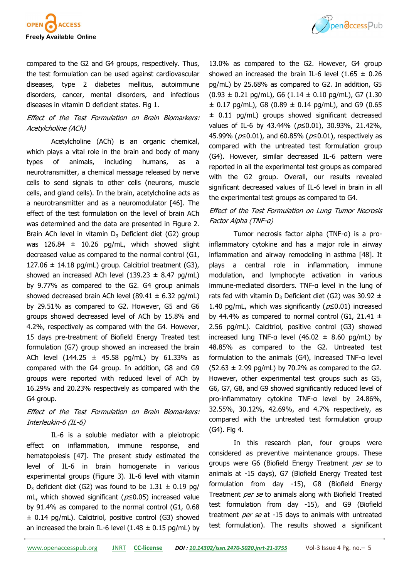

compared to the G2 and G4 groups, respectively. Thus, the test formulation can be used against cardiovascular diseases, type 2 diabetes mellitus, autoimmune disorders, cancer, mental disorders, and infectious diseases in vitamin D deficient states. Fig 1.

# Effect of the Test Formulation on Brain Biomarkers: Acetylcholine (ACh)

Acetylcholine (ACh) is an organic chemical, which plays a vital role in the brain and body of many types of animals, including humans, as a neurotransmitter, a chemical message released by nerve cells to send signals to other cells (neurons, muscle cells, and gland cells). In the brain, acetylcholine acts as a neurotransmitter and as a neuromodulator [46]. The effect of the test formulation on the level of brain ACh was determined and the data are presented in Figure 2. Brain ACh level in vitamin  $D_3$  Deficient diet (G2) group was  $126.84 \pm 10.26$  pg/mL, which showed slight decreased value as compared to the normal control (G1, 127.06  $\pm$  14.18 pg/mL) group. Calcitriol treatment (G3), showed an increased ACh level (139.23  $\pm$  8.47 pg/mL) by 9.77% as compared to the G2. G4 group animals showed decreased brain ACh level (89.41  $\pm$  6.32 pg/mL) by 29.51% as compared to G2. However, G5 and G6 groups showed decreased level of ACh by 15.8% and 4.2%, respectively as compared with the G4. However, 15 days pre-treatment of Biofield Energy Treated test formulation (G7) group showed an increased the brain ACh level (144.25  $\pm$  45.58 pg/mL) by 61.33% as compared with the G4 group. In addition, G8 and G9 groups were reported with reduced level of ACh by 16.29% and 20.23% respectively as compared with the G4 group.

# Effect of the Test Formulation on Brain Biomarkers: Interleukin-6 (IL-6)

IL-6 is a soluble mediator with a pleiotropic effect on inflammation, immune response, and hematopoiesis [47]. The present study estimated the level of IL-6 in brain homogenate in various experimental groups (Figure 3). IL-6 level with vitamin  $D_3$  deficient diet (G2) was found to be 1.31  $\pm$  0.19 pg/ mL, which showed significant ( $p$  ≤0.05) increased value by 91.4% as compared to the normal control (G1, 0.68 ± 0.14 pg/mL). Calcitriol, positive control (G3) showed an increased the brain IL-6 level  $(1.48 \pm 0.15 \text{ pg/mL})$  by



13.0% as compared to the G2. However, G4 group showed an increased the brain IL-6 level  $(1.65 \pm 0.26)$ pg/mL) by 25.68% as compared to G2. In addition, G5  $(0.93 \pm 0.21 \text{ pq/mL})$ , G6  $(1.14 \pm 0.10 \text{ pq/mL})$ , G7  $(1.30 \text{ pq/mL})$  $\pm$  0.17 pg/mL), G8 (0.89  $\pm$  0.14 pg/mL), and G9 (0.65 ± 0.11 pg/mL) groups showed significant decreased values of IL-6 by 43.44% (p≤0.01), 30.93%, 21.42%, 45.99% ( $p≤0.01$ ), and 60.85% ( $p≤0.01$ ), respectively as compared with the untreated test formulation group (G4). However, similar decreased IL-6 pattern were reported in all the experimental test groups as compared with the G2 group. Overall, our results revealed significant decreased values of IL-6 level in brain in all the experimental test groups as compared to G4.

# Effect of the Test Formulation on Lung Tumor Necrosis Factor Alpha (TNF-α)

Tumor necrosis factor alpha (TNF-α) is a proinflammatory cytokine and has a major role in airway inflammation and airway remodeling in asthma [48]. It plays a central role in inflammation, immune modulation, and lymphocyte activation in various immune-mediated disorders. TNF-α level in the lung of rats fed with vitamin  $D_3$  Deficient diet (G2) was 30.92  $\pm$ 1.40 pg/mL, which was significantly ( $p \le 0.01$ ) increased by 44.4% as compared to normal control (G1, 21.41  $\pm$ 2.56 pg/mL). Calcitriol, positive control (G3) showed increased lung TNF-a level  $(46.02 \pm 8.60 \text{ pg/mL})$  by 48.85% as compared to the G2. Untreated test formulation to the animals (G4), increased TNF-α level  $(52.63 \pm 2.99 \text{ pg/mL})$  by 70.2% as compared to the G2. However, other experimental test groups such as G5, G6, G7, G8, and G9 showed significantly reduced level of pro-inflammatory cytokine TNF-α level by 24.86%, 32.55%, 30.12%, 42.69%, and 4.7% respectively, as compared with the untreated test formulation group (G4). Fig 4.

In this research plan, four groups were considered as preventive maintenance groups. These groups were G6 (Biofield Energy Treatment per se to animals at -15 days), G7 (Biofield Energy Treated test formulation from day -15), G8 (Biofield Energy Treatment per se to animals along with Biofield Treated test formulation from day -15), and G9 (Biofield treatment per se at -15 days to animals with untreated test formulation). The results showed a significant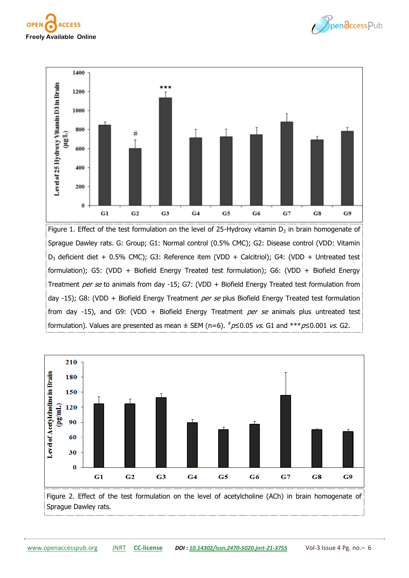





Figure 1. Effect of the test formulation on the level of 25-Hydroxy vitamin  $D_3$  in brain homogenate of Sprague Dawley rats. G: Group; G1: Normal control (0.5% CMC); G2: Disease control (VDD: Vitamin D<sub>3</sub> deficient diet + 0.5% CMC); G3: Reference item (VDD + Calcitriol); G4: (VDD + Untreated test formulation); G5: (VDD + Biofield Energy Treated test formulation); G6: (VDD + Biofield Energy Treatment per se to animals from day -15; G7: (VDD + Biofield Energy Treated test formulation from day -15); G8: (VDD + Biofield Energy Treatment per se plus Biofield Energy Treated test formulation from day -15), and G9: (VDD + Biofield Energy Treatment per se animals plus untreated test formulation). Values are presented as mean  $\pm$  SEM (n=6).  $\#p\leq0.05$  vs. G1 and  $***p\leq0.001$  vs. G2.

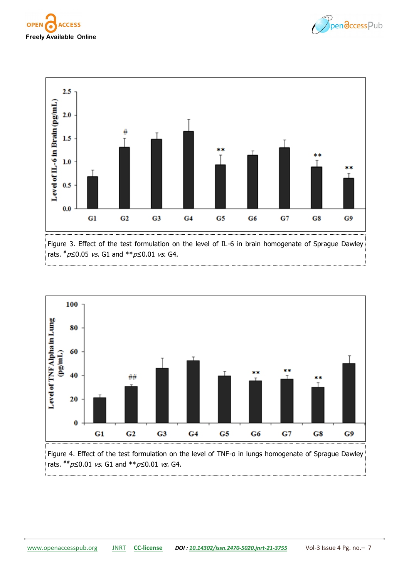





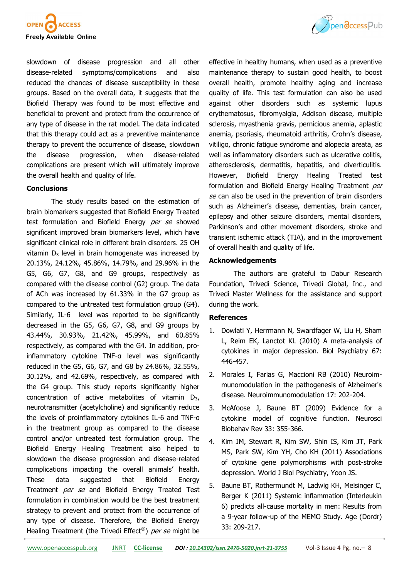



slowdown of disease progression and all other disease-related symptoms/complications and also reduced the chances of disease susceptibility in these groups. Based on the overall data, it suggests that the Biofield Therapy was found to be most effective and beneficial to prevent and protect from the occurrence of any type of disease in the rat model. The data indicated that this therapy could act as a preventive maintenance therapy to prevent the occurrence of disease, slowdown the disease progression, when disease-related complications are present which will ultimately improve the overall health and quality of life.

#### **Conclusions**

The study results based on the estimation of brain biomarkers suggested that Biofield Energy Treated test formulation and Biofield Energy per se showed significant improved brain biomarkers level, which have significant clinical role in different brain disorders. 25 OH vitamin  $D_3$  level in brain homogenate was increased by 20.13%, 24.12%, 45.86%, 14.79%, and 29.96% in the G5, G6, G7, G8, and G9 groups, respectively as compared with the disease control (G2) group. The data of ACh was increased by 61.33% in the G7 group as compared to the untreated test formulation group (G4). Similarly, IL-6 level was reported to be significantly decreased in the G5, G6, G7, G8, and G9 groups by 43.44%, 30.93%, 21.42%, 45.99%, and 60.85% respectively, as compared with the G4. In addition, proinflammatory cytokine TNF-α level was significantly reduced in the G5, G6, G7, and G8 by 24.86%, 32.55%, 30.12%, and 42.69%, respectively, as compared with the G4 group. This study reports significantly higher concentration of active metabolites of vitamin  $D_{3}$ , neurotransmitter (acetylcholine) and significantly reduce the levels of proinflammatory cytokines IL-6 and TNF-α in the treatment group as compared to the disease control and/or untreated test formulation group. The Biofield Energy Healing Treatment also helped to slowdown the disease progression and disease-related complications impacting the overall animals' health. These data suggested that Biofield Energy Treatment per se and Biofield Energy Treated Test formulation in combination would be the best treatment strategy to prevent and protect from the occurrence of any type of disease. Therefore, the Biofield Energy Healing Treatment (the Trivedi Effect<sup>®</sup>) per se might be

effective in healthy humans, when used as a preventive maintenance therapy to sustain good health, to boost overall health, promote healthy aging and increase quality of life. This test formulation can also be used against other disorders such as systemic lupus erythematosus, fibromyalgia, Addison disease, multiple sclerosis, myasthenia gravis, pernicious anemia, aplastic anemia, psoriasis, rheumatoid arthritis, Crohn's disease, vitiligo, chronic fatigue syndrome and alopecia areata, as well as inflammatory disorders such as ulcerative colitis, atherosclerosis, dermatitis, hepatitis, and diverticulitis. However, Biofield Energy Healing Treated test formulation and Biofield Energy Healing Treatment per se can also be used in the prevention of brain disorders such as Alzheimer's disease, dementias, brain cancer, epilepsy and other seizure disorders, mental disorders, Parkinson's and other movement disorders, stroke and transient ischemic attack (TIA), and in the improvement of overall health and quality of life.

## **Acknowledgements**

The authors are grateful to Dabur Research Foundation, Trivedi Science, Trivedi Global, Inc., and Trivedi Master Wellness for the assistance and support during the work.

## **References**

- 1. Dowlati Y, Herrmann N, Swardfager W, Liu H, Sham L, Reim EK, Lanctot KL (2010) A meta-analysis of cytokines in major depression. Biol Psychiatry 67: 446-457.
- 2. Morales I, Farias G, Maccioni RB (2010) Neuroimmunomodulation in the pathogenesis of Alzheimer's disease. Neuroimmunomodulation 17: 202-204.
- 3. McAfoose J, Baune BT (2009) Evidence for a cytokine model of cognitive function. Neurosci Biobehav Rev 33: 355-366.
- 4. Kim JM, Stewart R, Kim SW, Shin IS, Kim JT, Park MS, Park SW, Kim YH, Cho KH (2011) Associations of cytokine gene polymorphisms with post-stroke depression. World J Biol Psychiatry, Yoon JS.
- 5. Baune BT, Rothermundt M, Ladwig KH, Meisinger C, Berger K (2011) Systemic inflammation (Interleukin 6) predicts all-cause mortality in men: Results from a 9-year follow-up of the MEMO Study. Age (Dordr) 33: 209-217.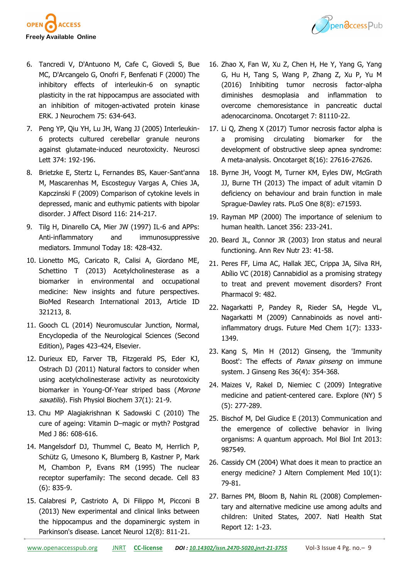

- 6. Tancredi V, D'Antuono M, Cafe C, Giovedi S, Bue MC, D'Arcangelo G, Onofri F, Benfenati F (2000) The inhibitory effects of interleukin-6 on synaptic plasticity in the rat hippocampus are associated with an inhibition of mitogen-activated protein kinase ERK. J Neurochem 75: 634-643.
- 7. Peng YP, Qiu YH, Lu JH, Wang JJ (2005) Interleukin-6 protects cultured cerebellar granule neurons against glutamate-induced neurotoxicity. Neurosci Lett 374: 192-196.
- 8. Brietzke E, Stertz L, Fernandes BS, Kauer-Sant'anna M, Mascarenhas M, Escosteguy Vargas A, Chies JA, Kapczinski F (2009) Comparison of cytokine levels in depressed, manic and euthymic patients with bipolar disorder. J Affect Disord 116: 214-217.
- 9. Tilg H, Dinarello CA, Mier JW (1997) IL-6 and APPs: Anti-inflammatory and immunosuppressive mediators. Immunol Today 18: 428-432.
- 10. Lionetto MG, Caricato R, Calisi A, Giordano ME, Schettino T (2013) Acetylcholinesterase as a biomarker in environmental and occupational medicine: New insights and future perspectives. BioMed Research International 2013, Article ID 321213, 8.
- 11. Gooch CL (2014) Neuromuscular Junction, Normal, Encyclopedia of the Neurological Sciences (Second Edition), Pages 423-424, Elsevier.
- 12. Durieux ED, Farver TB, Fitzgerald PS, Eder KJ, Ostrach DJ (2011) Natural factors to consider when using acetylcholinesterase activity as neurotoxicity biomarker in Young-Of-Year striped bass (Morone saxatilis). Fish Physiol Biochem 37(1): 21-9.
- 13. Chu MP Alagiakrishnan K Sadowski C (2010) The cure of ageing: Vitamin D–magic or myth? Postgrad Med J 86: 608-616.
- 14. Mangelsdorf DJ, Thummel C, Beato M, Herrlich P, Schütz G, Umesono K, Blumberg B, Kastner P, Mark M, Chambon P, Evans RM (1995) The nuclear receptor superfamily: The second decade. Cell 83 (6): 835-9.
- 15. Calabresi P, Castrioto A, Di Filippo M, Picconi B (2013) New experimental and clinical links between the hippocampus and the dopaminergic system in Parkinson's disease. Lancet Neurol 12(8): 811-21.
- 16. Zhao X, Fan W, Xu Z, Chen H, He Y, Yang G, Yang G, Hu H, Tang S, Wang P, Zhang Z, Xu P, Yu M (2016) Inhibiting tumor necrosis factor-alpha diminishes desmoplasia and inflammation to overcome chemoresistance in pancreatic ductal adenocarcinoma. Oncotarget 7: 81110-22.
- 17. Li Q, Zheng X (2017) Tumor necrosis factor alpha is a promising circulating biomarker for the development of obstructive sleep apnea syndrome: A meta-analysis. Oncotarget 8(16): 27616-27626.
- 18. Byrne JH, Voogt M, Turner KM, Eyles DW, McGrath JJ, Burne TH (2013) The impact of adult vitamin D deficiency on behaviour and brain function in male Sprague-Dawley rats. PLoS One 8(8): e71593.
- 19. Rayman MP (2000) The importance of selenium to human health. Lancet 356: 233-241.
- 20. Beard JL, Connor JR (2003) Iron status and neural functioning. Ann Rev Nutr 23: 41-58.
- 21. Peres FF, Lima AC, Hallak JEC, Crippa JA, Silva RH, Abílio VC (2018) Cannabidiol as a promising strategy to treat and prevent movement disorders? Front Pharmacol 9: 482.
- 22. Nagarkatti P, Pandey R, Rieder SA, Hegde VL, Nagarkatti M (2009) Cannabinoids as novel antiinflammatory drugs. Future Med Chem 1(7): 1333- 1349.
- 23. Kang S, Min H (2012) Ginseng, the 'Immunity Boost': The effects of *Panax ginseng* on immune system. J Ginseng Res 36(4): 354-368.
- 24. Maizes V, Rakel D, Niemiec C (2009) Integrative medicine and patient-centered care. Explore (NY) 5 (5): 277-289.
- 25. Bischof M, Del Giudice E (2013) Communication and the emergence of collective behavior in living organisms: A quantum approach. Mol Biol Int 2013: 987549.
- 26. Cassidy CM (2004) What does it mean to practice an energy medicine? J Altern Complement Med 10(1): 79-81.
- 27. Barnes PM, Bloom B, Nahin RL (2008) Complementary and alternative medicine use among adults and children: United States, 2007. Natl Health Stat Report 12: 1-23.

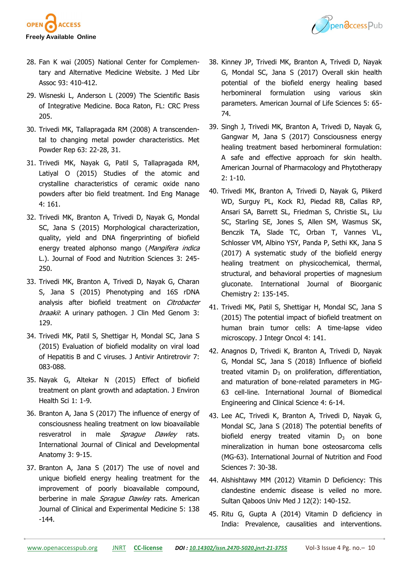



- 28. Fan K wai (2005) National Center for Complementary and Alternative Medicine Website. J Med Libr Assoc 93: 410-412.
- 29. Wisneski L, Anderson L (2009) The Scientific Basis of Integrative Medicine. Boca Raton, FL: CRC Press 205.
- 30. Trivedi MK, Tallapragada RM (2008) A transcendental to changing metal powder characteristics. Met Powder Rep 63: 22-28, 31.
- 31. Trivedi MK, Nayak G, Patil S, Tallapragada RM, Latiyal O (2015) Studies of the atomic and crystalline characteristics of ceramic oxide nano powders after bio field treatment. Ind Eng Manage 4: 161.
- 32. Trivedi MK, Branton A, Trivedi D, Nayak G, Mondal SC, Jana S (2015) Morphological characterization, quality, yield and DNA fingerprinting of biofield energy treated alphonso mango (Mangifera indica L.). Journal of Food and Nutrition Sciences 3: 245- 250.
- 33. Trivedi MK, Branton A, Trivedi D, Nayak G, Charan S, Jana S (2015) Phenotyping and 16S rDNA analysis after biofield treatment on Citrobacter braakii: A urinary pathogen. J Clin Med Genom 3: 129.
- 34. Trivedi MK, Patil S, Shettigar H, Mondal SC, Jana S (2015) Evaluation of biofield modality on viral load of Hepatitis B and C viruses. J Antivir Antiretrovir 7: 083-088.
- 35. Nayak G, Altekar N (2015) Effect of biofield treatment on plant growth and adaptation. J Environ Health Sci 1: 1-9.
- 36. Branton A, Jana S (2017) The influence of energy of consciousness healing treatment on low bioavailable resveratrol in male Spraque Dawley rats. International Journal of Clinical and Developmental Anatomy 3: 9-15.
- 37. Branton A, Jana S (2017) The use of novel and unique biofield energy healing treatment for the improvement of poorly bioavailable compound, berberine in male Sprague Dawley rats. American Journal of Clinical and Experimental Medicine 5: 138 -144.
- 38. Kinney JP, Trivedi MK, Branton A, Trivedi D, Nayak G, Mondal SC, Jana S (2017) Overall skin health potential of the biofield energy healing based herbomineral formulation using various skin parameters. American Journal of Life Sciences 5: 65- 74.
- 39. Singh J, Trivedi MK, Branton A, Trivedi D, Nayak G, Gangwar M, Jana S (2017) Consciousness energy healing treatment based herbomineral formulation: A safe and effective approach for skin health. American Journal of Pharmacology and Phytotherapy 2: 1-10.
- 40. Trivedi MK, Branton A, Trivedi D, Nayak G, Plikerd WD, Surguy PL, Kock RJ, Piedad RB, Callas RP, Ansari SA, Barrett SL, Friedman S, Christie SL, Liu SC, Starling SE, Jones S, Allen SM, Wasmus SK, Benczik TA, Slade TC, Orban T, Vannes VL, Schlosser VM, Albino YSY, Panda P, Sethi KK, Jana S (2017) A systematic study of the biofield energy healing treatment on physicochemical, thermal, structural, and behavioral properties of magnesium gluconate. International Journal of Bioorganic Chemistry 2: 135-145.
- 41. Trivedi MK, Patil S, Shettigar H, Mondal SC, Jana S (2015) The potential impact of biofield treatment on human brain tumor cells: A time-lapse video microscopy. J Integr Oncol 4: 141.
- 42. Anagnos D, Trivedi K, Branton A, Trivedi D, Nayak G, Mondal SC, Jana S (2018) Influence of biofield treated vitamin  $D_3$  on proliferation, differentiation, and maturation of bone-related parameters in MG-63 cell-line. International Journal of Biomedical Engineering and Clinical Science 4: 6-14.
- 43. Lee AC, Trivedi K, Branton A, Trivedi D, Nayak G, Mondal SC, Jana S (2018) The potential benefits of biofield energy treated vitamin  $D_3$  on bone mineralization in human bone osteosarcoma cells (MG-63). International Journal of Nutrition and Food Sciences 7: 30-38.
- 44. Alshishtawy MM (2012) Vitamin D Deficiency: This clandestine endemic disease is veiled no more. Sultan Qaboos Univ Med J 12(2): 140-152.
- 45. Ritu G, Gupta A (2014) Vitamin D deficiency in India: Prevalence, causalities and interventions.